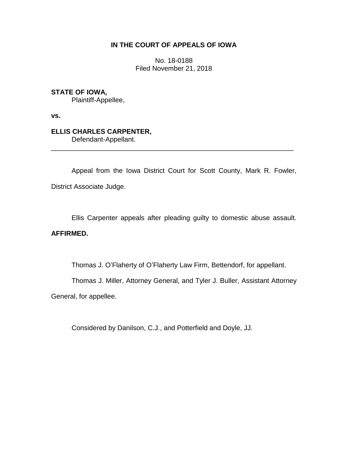### **IN THE COURT OF APPEALS OF IOWA**

No. 18-0188 Filed November 21, 2018

# **STATE OF IOWA,**

Plaintiff-Appellee,

**vs.**

#### **ELLIS CHARLES CARPENTER,** Defendant-Appellant.

\_\_\_\_\_\_\_\_\_\_\_\_\_\_\_\_\_\_\_\_\_\_\_\_\_\_\_\_\_\_\_\_\_\_\_\_\_\_\_\_\_\_\_\_\_\_\_\_\_\_\_\_\_\_\_\_\_\_\_\_\_\_\_\_

Appeal from the Iowa District Court for Scott County, Mark R. Fowler, District Associate Judge.

Ellis Carpenter appeals after pleading guilty to domestic abuse assault.

## **AFFIRMED.**

Thomas J. O'Flaherty of O'Flaherty Law Firm, Bettendorf, for appellant.

Thomas J. Miller, Attorney General, and Tyler J. Buller, Assistant Attorney

General, for appellee.

Considered by Danilson, C.J., and Potterfield and Doyle, JJ.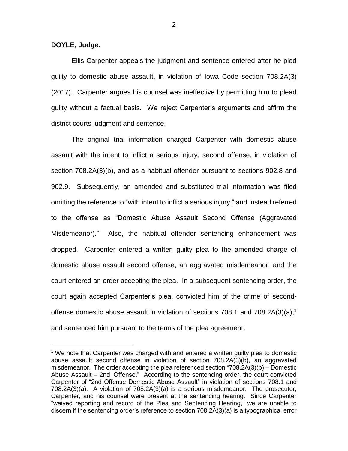**DOYLE, Judge.**

 $\overline{a}$ 

Ellis Carpenter appeals the judgment and sentence entered after he pled guilty to domestic abuse assault, in violation of Iowa Code section 708.2A(3) (2017). Carpenter argues his counsel was ineffective by permitting him to plead guilty without a factual basis. We reject Carpenter's arguments and affirm the district courts judgment and sentence.

The original trial information charged Carpenter with domestic abuse assault with the intent to inflict a serious injury, second offense, in violation of section 708.2A(3)(b), and as a habitual offender pursuant to sections 902.8 and 902.9. Subsequently, an amended and substituted trial information was filed omitting the reference to "with intent to inflict a serious injury," and instead referred to the offense as "Domestic Abuse Assault Second Offense (Aggravated Misdemeanor)." Also, the habitual offender sentencing enhancement was dropped. Carpenter entered a written guilty plea to the amended charge of domestic abuse assault second offense, an aggravated misdemeanor, and the court entered an order accepting the plea. In a subsequent sentencing order, the court again accepted Carpenter's plea, convicted him of the crime of secondoffense domestic abuse assault in violation of sections 708.1 and 708.2A(3)(a), 1 and sentenced him pursuant to the terms of the plea agreement.

 $1$  We note that Carpenter was charged with and entered a written guilty plea to domestic abuse assault second offense in violation of section 708.2A(3)(b), an aggravated misdemeanor. The order accepting the plea referenced section "708.2A(3)(b) – Domestic Abuse Assault – 2nd Offense." According to the sentencing order, the court convicted Carpenter of "2nd Offense Domestic Abuse Assault" in violation of sections 708.1 and 708.2A(3)(a). A violation of 708.2A(3)(a) is a serious misdemeanor. The prosecutor, Carpenter, and his counsel were present at the sentencing hearing. Since Carpenter "waived reporting and record of the Plea and Sentencing Hearing," we are unable to discern if the sentencing order's reference to section 708.2A(3)(a) is a typographical error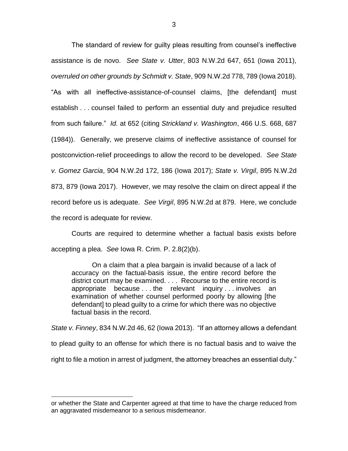The standard of review for guilty pleas resulting from counsel's ineffective assistance is de novo. *See State v. Utter*, 803 N.W.2d 647, 651 (Iowa 2011), *overruled on other grounds by Schmidt v. State*, 909 N.W.2d 778, 789 (Iowa 2018). "As with all ineffective-assistance-of-counsel claims, [the defendant] must establish . . . counsel failed to perform an essential duty and prejudice resulted from such failure." *Id.* at 652 (citing *Strickland v. Washington*, 466 U.S. 668, 687 (1984)). Generally, we preserve claims of ineffective assistance of counsel for postconviction-relief proceedings to allow the record to be developed. *See State v. Gomez Garcia*, 904 N.W.2d 172, 186 (Iowa 2017); *State v. Virgil*, 895 N.W.2d 873, 879 (Iowa 2017). However, we may resolve the claim on direct appeal if the record before us is adequate. *See Virgil*, 895 N.W.2d at 879. Here, we conclude the record is adequate for review.

Courts are required to determine whether a factual basis exists before accepting a plea. *See* Iowa R. Crim. P. 2.8(2)(b).

On a claim that a plea bargain is invalid because of a lack of accuracy on the factual-basis issue, the entire record before the district court may be examined. . . . Recourse to the entire record is appropriate because . . . the relevant inquiry . . . involves an examination of whether counsel performed poorly by allowing [the defendant] to plead guilty to a crime for which there was no objective factual basis in the record.

*State v. Finney*, 834 N.W.2d 46, 62 (Iowa 2013). "If an attorney allows a defendant to plead guilty to an offense for which there is no factual basis and to waive the right to file a motion in arrest of judgment, the attorney breaches an essential duty."

 $\overline{a}$ 

or whether the State and Carpenter agreed at that time to have the charge reduced from an aggravated misdemeanor to a serious misdemeanor.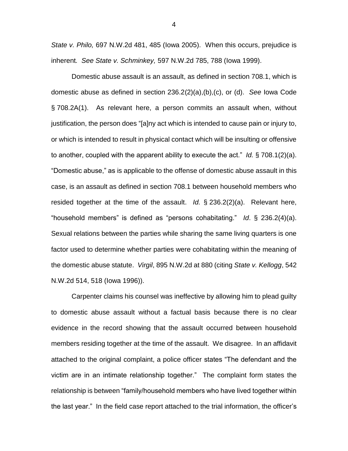*State v. Philo,* 697 N.W.2d 481, 485 (Iowa 2005). When this occurs, prejudice is inherent*. See State v. Schminkey,* 597 N.W.2d 785, 788 (Iowa 1999).

Domestic abuse assault is an assault, as defined in section 708.1, which is domestic abuse as defined in section 236.2(2)(a),(b),(c), or (d). *See* Iowa Code § 708.2A(1). As relevant here, a person commits an assault when, without justification, the person does "[a]ny act which is intended to cause pain or injury to, or which is intended to result in physical contact which will be insulting or offensive to another, coupled with the apparent ability to execute the act." *Id.* § 708.1(2)(a). "Domestic abuse," as is applicable to the offense of domestic abuse assault in this case, is an assault as defined in section 708.1 between household members who resided together at the time of the assault. *Id.* § 236.2(2)(a). Relevant here, "household members" is defined as "persons cohabitating." *Id*. § 236.2(4)(a). Sexual relations between the parties while sharing the same living quarters is one factor used to determine whether parties were cohabitating within the meaning of the domestic abuse statute. *Virgil*, 895 N.W.2d at 880 (citing *State v. Kellogg*, 542 N.W.2d 514, 518 (Iowa 1996)).

Carpenter claims his counsel was ineffective by allowing him to plead guilty to domestic abuse assault without a factual basis because there is no clear evidence in the record showing that the assault occurred between household members residing together at the time of the assault. We disagree. In an affidavit attached to the original complaint, a police officer states "The defendant and the victim are in an intimate relationship together." The complaint form states the relationship is between "family/household members who have lived together within the last year." In the field case report attached to the trial information, the officer's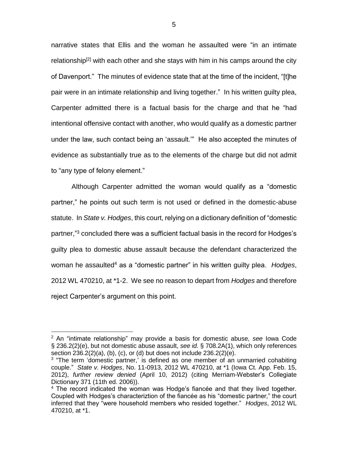narrative states that Ellis and the woman he assaulted were "in an intimate relationship<sup>[2]</sup> with each other and she stays with him in his camps around the city of Davenport." The minutes of evidence state that at the time of the incident, "[t]he pair were in an intimate relationship and living together." In his written guilty plea, Carpenter admitted there is a factual basis for the charge and that he "had intentional offensive contact with another, who would qualify as a domestic partner under the law, such contact being an 'assault.'" He also accepted the minutes of evidence as substantially true as to the elements of the charge but did not admit to "any type of felony element."

Although Carpenter admitted the woman would qualify as a "domestic partner," he points out such term is not used or defined in the domestic-abuse statute. In *State v. Hodges*, this court, relying on a dictionary definition of "domestic partner,"<sup>3</sup> concluded there was a sufficient factual basis in the record for Hodges's guilty plea to domestic abuse assault because the defendant characterized the woman he assaulted<sup>4</sup> as a "domestic partner" in his written guilty plea. *Hodges*, 2012 WL 470210, at \*1-2. We see no reason to depart from *Hodges* and therefore reject Carpenter's argument on this point.

 $\overline{a}$ 

<sup>2</sup> An "intimate relationship" may provide a basis for domestic abuse, *see* Iowa Code § 236.2(2)(e), but not domestic abuse assault, *see id.* § 708.2A(1), which only references section 236.2(2)(a), (b), (c), or (d) but does not include 236.2(2)(e).

<sup>&</sup>lt;sup>3</sup> "The term 'domestic partner,' is defined as one member of an unmarried cohabiting couple." *State v. Hodges*, No. 11-0913, 2012 WL 470210, at \*1 (Iowa Ct. App. Feb. 15, 2012), *further review denied* (April 10, 2012) (citing Merriam-Webster's Collegiate Dictionary 371 (11th ed. 2006)).

 $4$  The record indicated the woman was Hodge's fiancée and that they lived together. Coupled with Hodges's characteriztion of the fiancée as his "domestic partner," the court inferred that they "were household members who resided together." *Hodges*, 2012 WL 470210, at \*1.